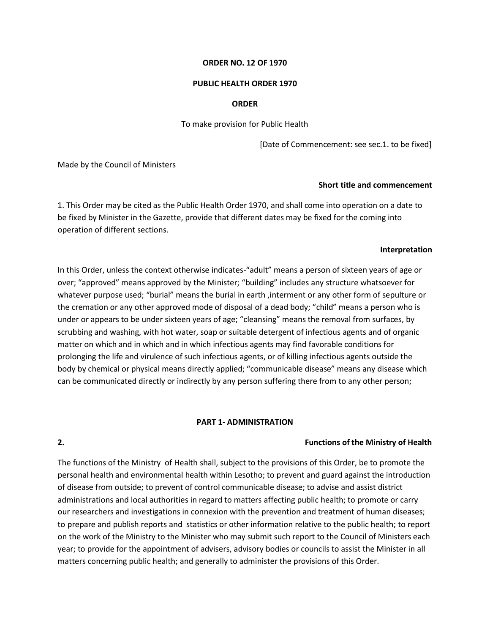#### **ORDER NO. 12 OF 1970**

#### **PUBLIC HEALTH ORDER 1970**

#### **ORDER**

To make provision for Public Health

[Date of Commencement: see sec.1. to be fixed]

Made by the Council of Ministers

#### **Short title and commencement**

1. This Order may be cited as the Public Health Order 1970, and shall come into operation on a date to be fixed by Minister in the Gazette, provide that different dates may be fixed for the coming into operation of different sections.

#### **Interpretation**

In this Order, unless the context otherwise indicates-"adult" means a person of sixteen years of age or over; "approved" means approved by the Minister; "building" includes any structure whatsoever for whatever purpose used; "burial" means the burial in earth ,interment or any other form of sepulture or the cremation or any other approved mode of disposal of a dead body; "child" means a person who is under or appears to be under sixteen years of age; "cleansing" means the removal from surfaces, by scrubbing and washing, with hot water, soap or suitable detergent of infectious agents and of organic matter on which and in which and in which infectious agents may find favorable conditions for prolonging the life and virulence of such infectious agents, or of killing infectious agents outside the body by chemical or physical means directly applied; "communicable disease" means any disease which can be communicated directly or indirectly by any person suffering there from to any other person;

#### **PART 1- ADMINISTRATION**

#### **2. Functions of the Ministry of Health**

The functions of the Ministry of Health shall, subject to the provisions of this Order, be to promote the personal health and environmental health within Lesotho; to prevent and guard against the introduction of disease from outside; to prevent of control communicable disease; to advise and assist district administrations and local authorities in regard to matters affecting public health; to promote or carry our researchers and investigations in connexion with the prevention and treatment of human diseases; to prepare and publish reports and statistics or other information relative to the public health; to report on the work of the Ministry to the Minister who may submit such report to the Council of Ministers each year; to provide for the appointment of advisers, advisory bodies or councils to assist the Minister in all matters concerning public health; and generally to administer the provisions of this Order.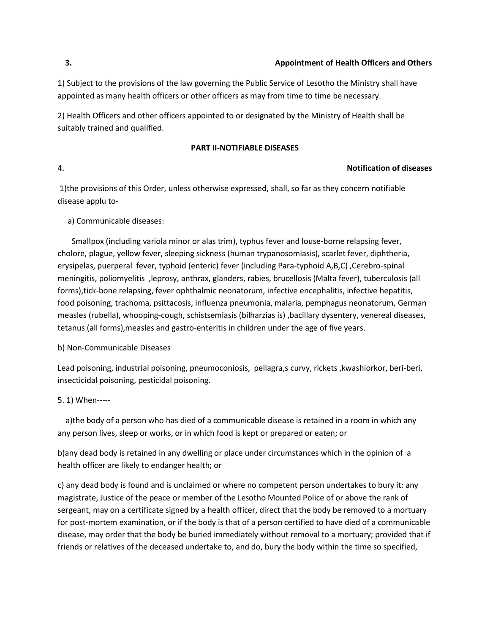1) Subject to the provisions of the law governing the Public Service of Lesotho the Ministry shall have appointed as many health officers or other officers as may from time to time be necessary.

2) Health Officers and other officers appointed to or designated by the Ministry of Health shall be suitably trained and qualified.

### **PART II-NOTIFIABLE DISEASES**

### 4. **Notification of diseases**

1)the provisions of this Order, unless otherwise expressed, shall, so far as they concern notifiable disease applu to-

### a) Communicable diseases:

Smallpox (including variola minor or alas trim), typhus fever and louse-borne relapsing fever, cholore, plague, yellow fever, sleeping sickness (human trypanosomiasis), scarlet fever, diphtheria, erysipelas, puerperal fever, typhoid (enteric) fever (including Para-typhoid A,B,C), Cerebro-spinal meningitis, poliomyelitis ,leprosy, anthrax, glanders, rabies, brucellosis (Malta fever), tuberculosis (all forms),tick-bone relapsing, fever ophthalmic neonatorum, infective encephalitis, infective hepatitis, food poisoning, trachoma, psittacosis, influenza pneumonia, malaria, pemphagus neonatorum, German measles (rubella), whooping-cough, schistsemiasis (bilharzias is) ,bacillary dysentery, venereal diseases, tetanus (all forms),measles and gastro-enteritis in children under the age of five years.

### b) Non-Communicable Diseases

Lead poisoning, industrial poisoning, pneumoconiosis, pellagra,s curvy, rickets ,kwashiorkor, beri-beri, insecticidal poisoning, pesticidal poisoning.

## 5. 1) When-----

a)the body of a person who has died of a communicable disease is retained in a room in which any any person lives, sleep or works, or in which food is kept or prepared or eaten; or

b)any dead body is retained in any dwelling or place under circumstances which in the opinion of a health officer are likely to endanger health; or

c) any dead body is found and is unclaimed or where no competent person undertakes to bury it: any magistrate, Justice of the peace or member of the Lesotho Mounted Police of or above the rank of sergeant, may on a certificate signed by a health officer, direct that the body be removed to a mortuary for post-mortem examination, or if the body is that of a person certified to have died of a communicable disease, may order that the body be buried immediately without removal to a mortuary; provided that if friends or relatives of the deceased undertake to, and do, bury the body within the time so specified,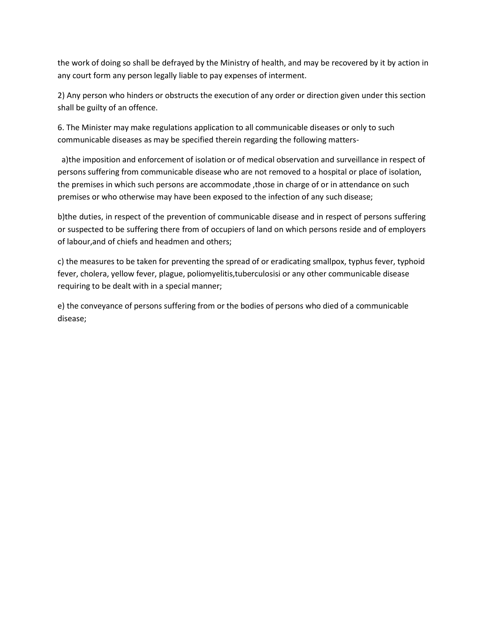the work of doing so shall be defrayed by the Ministry of health, and may be recovered by it by action in any court form any person legally liable to pay expenses of interment.

2) Any person who hinders or obstructs the execution of any order or direction given under this section shall be guilty of an offence.

6. The Minister may make regulations application to all communicable diseases or only to such communicable diseases as may be specified therein regarding the following matters-

a)the imposition and enforcement of isolation or of medical observation and surveillance in respect of persons suffering from communicable disease who are not removed to a hospital or place of isolation, the premises in which such persons are accommodate , those in charge of or in attendance on such premises or who otherwise may have been exposed to the infection of any such disease;

b)the duties, in respect of the prevention of communicable disease and in respect of persons suffering or suspected to be suffering there from of occupiers of land on which persons reside and of employers of labour,and of chiefs and headmen and others;

c) the measures to be taken for preventing the spread of or eradicating smallpox, typhus fever, typhoid fever, cholera, yellow fever, plague, poliomyelitis,tuberculosisi or any other communicable disease requiring to be dealt with in a special manner;

e) the conveyance of persons suffering from or the bodies of persons who died of a communicable disease;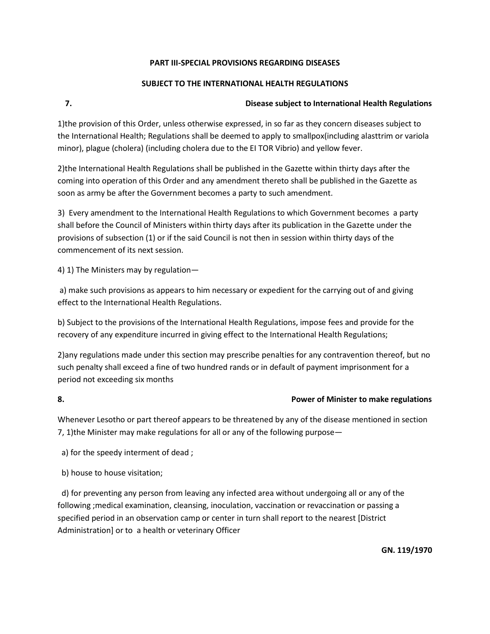## **PART III-SPECIAL PROVISIONS REGARDING DISEASES**

## **SUBJECT TO THE INTERNATIONAL HEALTH REGULATIONS**

# **7. Disease subject to International Health Regulations**

1)the provision of this Order, unless otherwise expressed, in so far as they concern diseases subject to the International Health; Regulations shall be deemed to apply to smallpox(including alasttrim or variola minor), plague (cholera) (including cholera due to the EI TOR Vibrio) and yellow fever.

2)the International Health Regulations shall be published in the Gazette within thirty days after the coming into operation of this Order and any amendment thereto shall be published in the Gazette as soon as army be after the Government becomes a party to such amendment.

3) Every amendment to the International Health Regulations to which Government becomes a party shall before the Council of Ministers within thirty days after its publication in the Gazette under the provisions of subsection (1) or if the said Council is not then in session within thirty days of the commencement of its next session.

4) 1) The Ministers may by regulation—

a) make such provisions as appears to him necessary or expedient for the carrying out of and giving effect to the International Health Regulations.

b) Subject to the provisions of the International Health Regulations, impose fees and provide for the recovery of any expenditure incurred in giving effect to the International Health Regulations;

2)any regulations made under this section may prescribe penalties for any contravention thereof, but no such penalty shall exceed a fine of two hundred rands or in default of payment imprisonment for a period not exceeding six months

# **8. Power of Minister to make regulations**

Whenever Lesotho or part thereof appears to be threatened by any of the disease mentioned in section 7, 1)the Minister may make regulations for all or any of the following purpose—

a) for the speedy interment of dead ;

b) house to house visitation;

d) for preventing any person from leaving any infected area without undergoing all or any of the following ;medical examination, cleansing, inoculation, vaccination or revaccination or passing a specified period in an observation camp or center in turn shall report to the nearest [District Administration] or to a health or veterinary Officer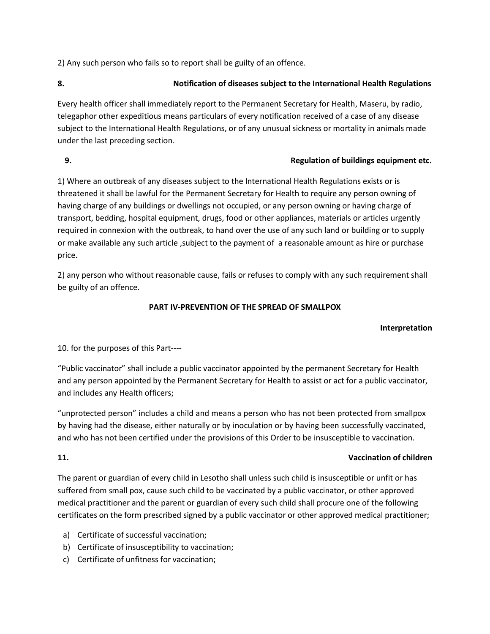2) Any such person who fails so to report shall be guilty of an offence.

# **8. Notification of diseases subject to the International Health Regulations**

Every health officer shall immediately report to the Permanent Secretary for Health, Maseru, by radio, telegaphor other expeditious means particulars of every notification received of a case of any disease subject to the International Health Regulations, or of any unusual sickness or mortality in animals made under the last preceding section.

## **9. Regulation of buildings equipment etc.**

1) Where an outbreak of any diseases subject to the International Health Regulations exists or is threatened it shall be lawful for the Permanent Secretary for Health to require any person owning of having charge of any buildings or dwellings not occupied, or any person owning or having charge of transport, bedding, hospital equipment, drugs, food or other appliances, materials or articles urgently required in connexion with the outbreak, to hand over the use of any such land or building or to supply or make available any such article ,subject to the payment of a reasonable amount as hire or purchase price.

2) any person who without reasonable cause, fails or refuses to comply with any such requirement shall be guilty of an offence.

## **PART IV-PREVENTION OF THE SPREAD OF SMALLPOX**

## **Interpretation**

10. for the purposes of this Part----

"Public vaccinator" shall include a public vaccinator appointed by the permanent Secretary for Health and any person appointed by the Permanent Secretary for Health to assist or act for a public vaccinator, and includes any Health officers;

"unprotected person" includes a child and means a person who has not been protected from smallpox by having had the disease, either naturally or by inoculation or by having been successfully vaccinated, and who has not been certified under the provisions of this Order to be insusceptible to vaccination.

### **11. Vaccination of children**

The parent or guardian of every child in Lesotho shall unless such child is insusceptible or unfit or has suffered from small pox, cause such child to be vaccinated by a public vaccinator, or other approved medical practitioner and the parent or guardian of every such child shall procure one of the following certificates on the form prescribed signed by a public vaccinator or other approved medical practitioner;

- a) Certificate of successful vaccination;
- b) Certificate of insusceptibility to vaccination;
- c) Certificate of unfitness for vaccination;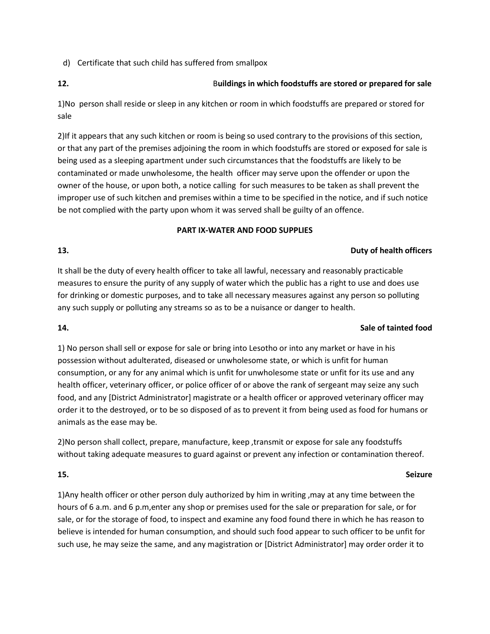d) Certificate that such child has suffered from smallpox

## **12.** B**uildings in which foodstuffs are stored or prepared for sale**

1)No person shall reside or sleep in any kitchen or room in which foodstuffs are prepared or stored for sale

2)If it appears that any such kitchen or room is being so used contrary to the provisions of this section, or that any part of the premises adjoining the room in which foodstuffs are stored or exposed for sale is being used as a sleeping apartment under such circumstances that the foodstuffs are likely to be contaminated or made unwholesome, the health officer may serve upon the offender or upon the owner of the house, or upon both, a notice calling forsuch measures to be taken as shall prevent the improper use of such kitchen and premises within a time to be specified in the notice, and if such notice be not complied with the party upon whom it was served shall be guilty of an offence.

### **PART IX-WATER AND FOOD SUPPLIES**

## **13. Duty of health officers**

It shall be the duty of every health officer to take all lawful, necessary and reasonably practicable measures to ensure the purity of any supply of water which the public has a right to use and does use for drinking or domestic purposes, and to take all necessary measures against any person so polluting any such supply or polluting any streams so as to be a nuisance or danger to health.

## **14. Sale of tainted food**

1) No person shall sell or expose for sale or bring into Lesotho or into any market or have in his possession without adulterated, diseased or unwholesome state, or which is unfit for human consumption, or any for any animal which is unfit for unwholesome state or unfit for its use and any health officer, veterinary officer, or police officer of or above the rank of sergeant may seize any such food, and any [District Administrator] magistrate or a health officer or approved veterinary officer may order it to the destroyed, or to be so disposed of as to prevent it from being used as food for humans or animals as the ease may be.

2)No person shall collect, prepare, manufacture, keep ,transmit or expose for sale any foodstuffs without taking adequate measures to guard against or prevent any infection or contamination thereof.

## **15. Seizure**

1)Any health officer or other person duly authorized by him in writing ,may at any time between the hours of 6 a.m. and 6 p.m,enter any shop or premises used for the sale or preparation for sale, or for sale, or for the storage of food, to inspect and examine any food found there in which he has reason to believe is intended for human consumption, and should such food appear to such officer to be unfit for such use, he may seize the same, and any magistration or [District Administrator] may order order it to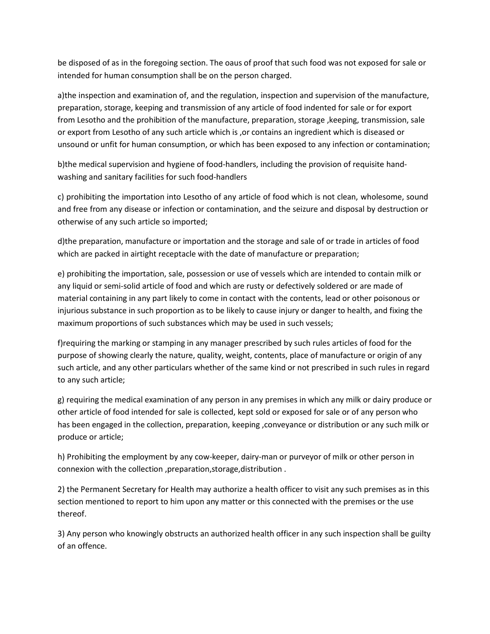be disposed of as in the foregoing section. The oaus of proof that such food was not exposed for sale or intended for human consumption shall be on the person charged.

a)the inspection and examination of, and the regulation, inspection and supervision of the manufacture, preparation, storage, keeping and transmission of any article of food indented for sale or for export from Lesotho and the prohibition of the manufacture, preparation, storage ,keeping, transmission, sale or export from Lesotho of any such article which is ,or contains an ingredient which is diseased or unsound or unfit for human consumption, or which has been exposed to any infection or contamination;

b)the medical supervision and hygiene of food-handlers, including the provision of requisite handwashing and sanitary facilities for such food-handlers

c) prohibiting the importation into Lesotho of any article of food which is not clean, wholesome, sound and free from any disease or infection or contamination, and the seizure and disposal by destruction or otherwise of any such article so imported;

d)the preparation, manufacture or importation and the storage and sale of or trade in articles of food which are packed in airtight receptacle with the date of manufacture or preparation;

e) prohibiting the importation, sale, possession or use of vessels which are intended to contain milk or any liquid or semi-solid article of food and which are rusty or defectively soldered or are made of material containing in any part likely to come in contact with the contents, lead or other poisonous or injurious substance in such proportion as to be likely to cause injury or danger to health, and fixing the maximum proportions of such substances which may be used in such vessels;

f)requiring the marking or stamping in any manager prescribed by such rules articles of food for the purpose of showing clearly the nature, quality, weight, contents, place of manufacture or origin of any such article, and any other particulars whether of the same kind or not prescribed in such rules in regard to any such article;

g) requiring the medical examination of any person in any premises in which any milk or dairy produce or other article of food intended for sale is collected, kept sold or exposed for sale or of any person who has been engaged in the collection, preparation, keeping ,conveyance or distribution or any such milk or produce or article;

h) Prohibiting the employment by any cow-keeper, dairy-man or purveyor of milk or other person in connexion with the collection ,preparation,storage,distribution .

2) the Permanent Secretary for Health may authorize a health officer to visit any such premises as in this section mentioned to report to him upon any matter or this connected with the premises or the use thereof.

3) Any person who knowingly obstructs an authorized health officer in any such inspection shall be guilty of an offence.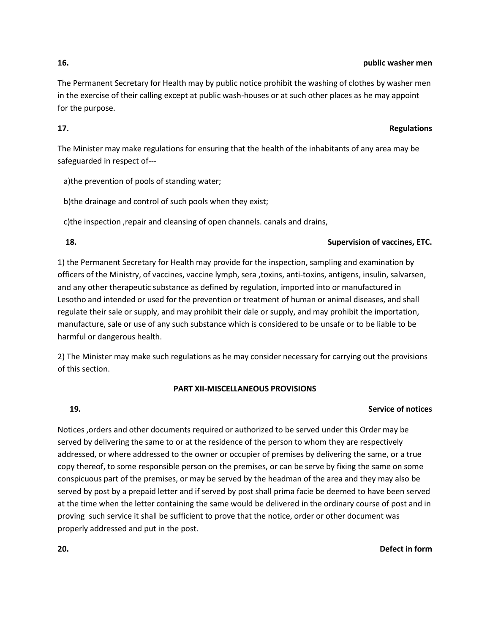#### **16. public washer men**

The Permanent Secretary for Health may by public notice prohibit the washing of clothes by washer men in the exercise of their calling except at public wash-houses or at such other places as he may appoint for the purpose.

### **17. Regulations**

The Minister may make regulations for ensuring that the health of the inhabitants of any area may be safeguarded in respect of---

a)the prevention of pools of standing water;

b)the drainage and control of such pools when they exist;

c)the inspection ,repair and cleansing of open channels. canals and drains,

### **18. Supervision of vaccines, ETC.**

1) the Permanent Secretary for Health may provide for the inspection, sampling and examination by officers of the Ministry, of vaccines, vaccine lymph, sera ,toxins, anti-toxins, antigens, insulin, salvarsen, and any other therapeutic substance as defined by regulation, imported into or manufactured in Lesotho and intended or used for the prevention or treatment of human or animal diseases, and shall regulate their sale or supply, and may prohibit their dale or supply, and may prohibit the importation, manufacture, sale or use of any such substance which is considered to be unsafe or to be liable to be harmful or dangerous health.

2) The Minister may make such regulations as he may consider necessary for carrying out the provisions of this section.

## **PART XII-MISCELLANEOUS PROVISIONS**

# **19. Service of notices**

Notices ,orders and other documents required or authorized to be served under this Order may be served by delivering the same to or at the residence of the person to whom they are respectively addressed, or where addressed to the owner or occupier of premises by delivering the same, or a true copy thereof, to some responsible person on the premises, or can be serve by fixing the same on some conspicuous part of the premises, or may be served by the headman of the area and they may also be served by post by a prepaid letter and if served by post shall prima facie be deemed to have been served at the time when the letter containing the same would be delivered in the ordinary course of post and in proving such service it shall be sufficient to prove that the notice, order or other document was properly addressed and put in the post.